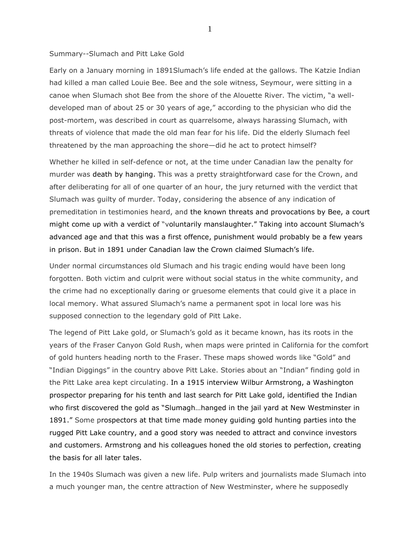## Summary--Slumach and Pitt Lake Gold

Early on a January morning in 1891Slumach's life ended at the gallows. The Katzie Indian had killed a man called Louie Bee. Bee and the sole witness, Seymour, were sitting in a canoe when Slumach shot Bee from the shore of the Alouette River. The victim, "a welldeveloped man of about 25 or 30 years of age," according to the physician who did the post-mortem, was described in court as quarrelsome, always harassing Slumach, with threats of violence that made the old man fear for his life. Did the elderly Slumach feel threatened by the man approaching the shore—did he act to protect himself?

Whether he killed in self-defence or not, at the time under Canadian law the penalty for murder was death by hanging. This was a pretty straightforward case for the Crown, and after deliberating for all of one quarter of an hour, the jury returned with the verdict that Slumach was guilty of murder. Today, considering the absence of any indication of premeditation in testimonies heard, and the known threats and provocations by Bee, a court might come up with a verdict of "voluntarily manslaughter." Taking into account Slumach's advanced age and that this was a first offence, punishment would probably be a few years in prison. But in 1891 under Canadian law the Crown claimed Slumach's life.

Under normal circumstances old Slumach and his tragic ending would have been long forgotten. Both victim and culprit were without social status in the white community, and the crime had no exceptionally daring or gruesome elements that could give it a place in local memory. What assured Slumach's name a permanent spot in local lore was his supposed connection to the legendary gold of Pitt Lake.

The legend of Pitt Lake gold, or Slumach's gold as it became known, has its roots in the years of the Fraser Canyon Gold Rush, when maps were printed in California for the comfort of gold hunters heading north to the Fraser. These maps showed words like "Gold" and "Indian Diggings" in the country above Pitt Lake. Stories about an "Indian" finding gold in the Pitt Lake area kept circulating. In a 1915 interview Wilbur Armstrong, a Washington prospector preparing for his tenth and last search for Pitt Lake gold, identified the Indian who first discovered the gold as "Slumagh…hanged in the jail yard at New Westminster in 1891." Some prospectors at that time made money guiding gold hunting parties into the rugged Pitt Lake country, and a good story was needed to attract and convince investors and customers. Armstrong and his colleagues honed the old stories to perfection, creating the basis for all later tales.

In the 1940s Slumach was given a new life. Pulp writers and journalists made Slumach into a much younger man, the centre attraction of New Westminster, where he supposedly

1